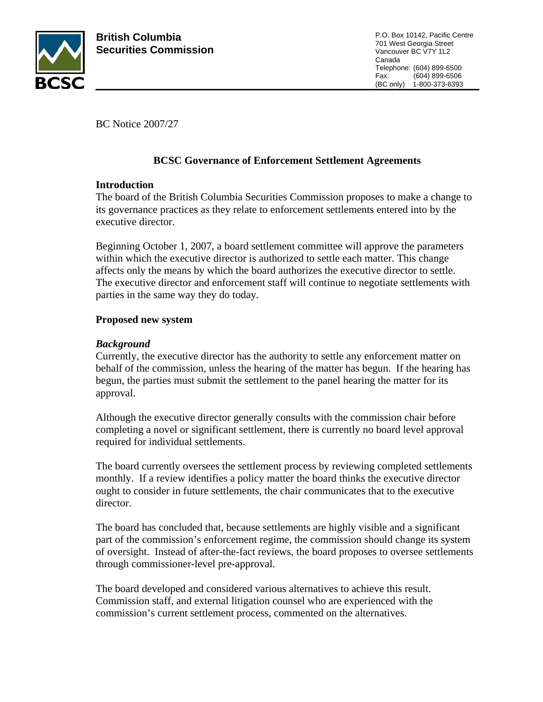

BC Notice 2007/27

# **BCSC Governance of Enforcement Settlement Agreements**

## **Introduction**

The board of the British Columbia Securities Commission proposes to make a change to its governance practices as they relate to enforcement settlements entered into by the executive director.

Beginning October 1, 2007, a board settlement committee will approve the parameters within which the executive director is authorized to settle each matter. This change affects only the means by which the board authorizes the executive director to settle. The executive director and enforcement staff will continue to negotiate settlements with parties in the same way they do today.

## **Proposed new system**

# *Background*

Currently, the executive director has the authority to settle any enforcement matter on behalf of the commission, unless the hearing of the matter has begun. If the hearing has begun, the parties must submit the settlement to the panel hearing the matter for its approval.

Although the executive director generally consults with the commission chair before completing a novel or significant settlement, there is currently no board level approval required for individual settlements.

The board currently oversees the settlement process by reviewing completed settlements monthly. If a review identifies a policy matter the board thinks the executive director ought to consider in future settlements, the chair communicates that to the executive director.

The board has concluded that, because settlements are highly visible and a significant part of the commission's enforcement regime, the commission should change its system of oversight. Instead of after-the-fact reviews, the board proposes to oversee settlements through commissioner-level pre-approval.

The board developed and considered various alternatives to achieve this result. Commission staff, and external litigation counsel who are experienced with the commission's current settlement process, commented on the alternatives.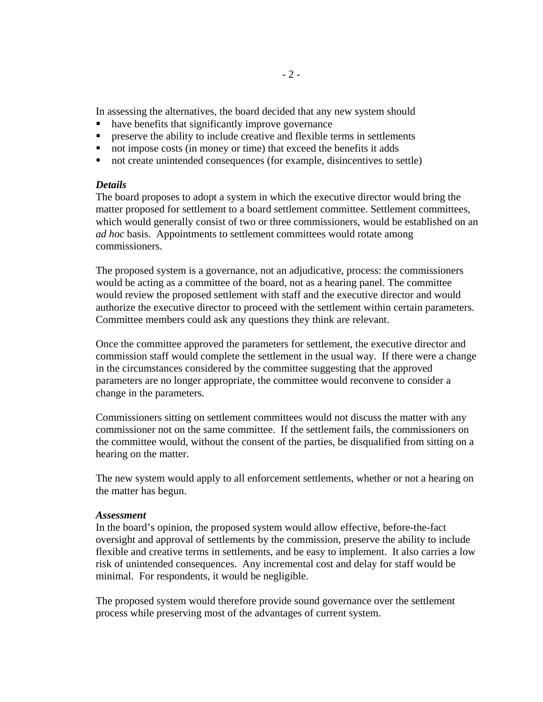In assessing the alternatives, the board decided that any new system should

- have benefits that significantly improve governance
- **PERICIST:** preserve the ability to include creative and flexible terms in settlements
- not impose costs (in money or time) that exceed the benefits it adds
- not create unintended consequences (for example, disincentives to settle)

### *Details*

The board proposes to adopt a system in which the executive director would bring the matter proposed for settlement to a board settlement committee. Settlement committees, which would generally consist of two or three commissioners, would be established on an *ad hoc* basis. Appointments to settlement committees would rotate among commissioners.

The proposed system is a governance, not an adjudicative, process: the commissioners would be acting as a committee of the board, not as a hearing panel. The committee would review the proposed settlement with staff and the executive director and would authorize the executive director to proceed with the settlement within certain parameters. Committee members could ask any questions they think are relevant.

Once the committee approved the parameters for settlement, the executive director and commission staff would complete the settlement in the usual way. If there were a change in the circumstances considered by the committee suggesting that the approved parameters are no longer appropriate, the committee would reconvene to consider a change in the parameters.

Commissioners sitting on settlement committees would not discuss the matter with any commissioner not on the same committee. If the settlement fails, the commissioners on the committee would, without the consent of the parties, be disqualified from sitting on a hearing on the matter.

The new system would apply to all enforcement settlements, whether or not a hearing on the matter has begun.

### *Assessment*

In the board's opinion, the proposed system would allow effective, before-the-fact oversight and approval of settlements by the commission, preserve the ability to include flexible and creative terms in settlements, and be easy to implement. It also carries a low risk of unintended consequences. Any incremental cost and delay for staff would be minimal. For respondents, it would be negligible.

The proposed system would therefore provide sound governance over the settlement process while preserving most of the advantages of current system.